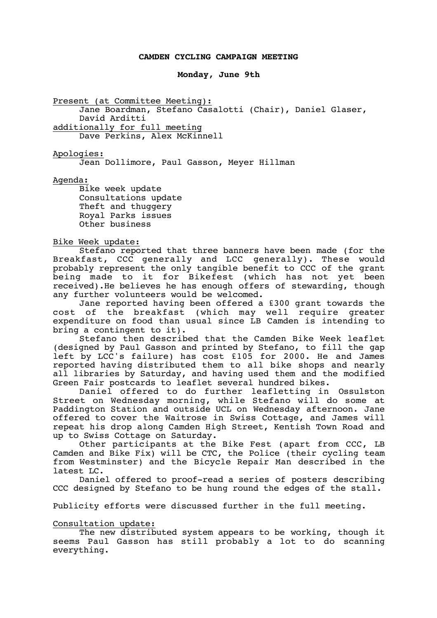## **CAMDEN CYCLING CAMPAIGN MEETING**

## **Monday, June 9th**

Present (at Committee Meeting):

Jane Boardman, Stefano Casalotti (Chair), Daniel Glaser, David Arditti additionally for full meeting

Dave Perkins, Alex McKinnell

Apologies:

Jean Dollimore, Paul Gasson, Meyer Hillman

Agenda:

Bike week update Consultations update Theft and thuggery Royal Parks issues Other business

## Bike Week update:

Stefano reported that three banners have been made (for the Breakfast, CCC generally and LCC generally). These would probably represent the only tangible benefit to CCC of the grant being made to it for Bikefest (which has not yet been received).He believes he has enough offers of stewarding, though any further volunteers would be welcomed.

Jane reported having been offered a £300 grant towards the cost of the breakfast (which may well require greater expenditure on food than usual since LB Camden is intending to bring a contingent to it).

Stefano then described that the Camden Bike Week leaflet (designed by Paul Gasson and printed by Stefano, to fill the gap left by LCC's failure) has cost £105 for 2000. He and James reported having distributed them to all bike shops and nearly all libraries by Saturday, and having used them and the modified Green Fair postcards to leaflet several hundred bikes.

Daniel offered to do further leafletting in Ossulston Street on Wednesday morning, while Stefano will do some at Paddington Station and outside UCL on Wednesday afternoon. Jane offered to cover the Waitrose in Swiss Cottage, and James will repeat his drop along Camden High Street, Kentish Town Road and up to Swiss Cottage on Saturday.

Other participants at the Bike Fest (apart from CCC, LB Camden and Bike Fix) will be CTC, the Police (their cycling team from Westminster) and the Bicycle Repair Man described in the latest LC.

Daniel offered to proof-read a series of posters describing CCC designed by Stefano to be hung round the edges of the stall.

Publicity efforts were discussed further in the full meeting.

# Consultation update:

The new distributed system appears to be working, though it seems Paul Gasson has still probably a lot to do scanning everything.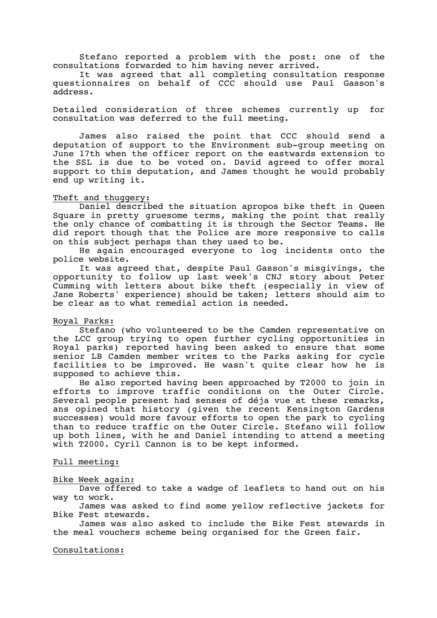Stefano reported a problem with the post: one of the consultations forwarded to him having never arrived.

It was agreed that all completing consultation response questionnaires on behalf of CCC should use Paul Gasson's address.

Detailed consideration of three schemes currently up for consultation was deferred to the full meeting.

James also raised the point that CCC should send a deputation of support to the Environment sub-group meeting on June 17th when the officer report on the eastwards extension to the SSL is due to be voted on. David agreed to offer moral support to this deputation, and James thought he would probably end up writing it.

### Theft and thuggery:

Daniel described the situation apropos bike theft in Queen Square in pretty gruesome terms, making the point that really the only chance of combatting it is through the Sector Teams. He did report though that the Police are more responsive to calls on this subject perhaps than they used to be.

He again encouraged everyone to log incidents onto the police website.

It was agreed that, despite Paul Gasson's misgivings, the opportunity to follow up last week's CNJ story about Peter Cumming with letters about bike theft (especially in view of Jane Roberts' experience) should be taken; letters should aim to be clear as to what remedial action is needed.

## Royal Parks:

Stefano (who volunteered to be the Camden representative on the LCC group trying to open further cycling opportunities in Royal parks) reported having been asked to ensure that some senior LB Camden member writes to the Parks asking for cycle facilities to be improved. He wasn't quite clear how he is supposed to achieve this.

He also reported having been approached by T2000 to join in efforts to improve traffic conditions on the Outer Circle. Several people present had senses of déja vue at these remarks, ans opined that history (given the recent Kensington Gardens successes) would more favour efforts to open the park to cycling than to reduce traffic on the Outer Circle. Stefano will follow up both lines, with he and Daniel intending to attend a meeting with T2000. Cyril Cannon is to be kept informed.

Full meeting:

#### Bike Week again:

Dave offered to take a wadge of leaflets to hand out on his way to work.

James was asked to find some yellow reflective jackets for Bike Fest stewards.

James was also asked to include the Bike Fest stewards in the meal vouchers scheme being organised for the Green fair.

Consultations: